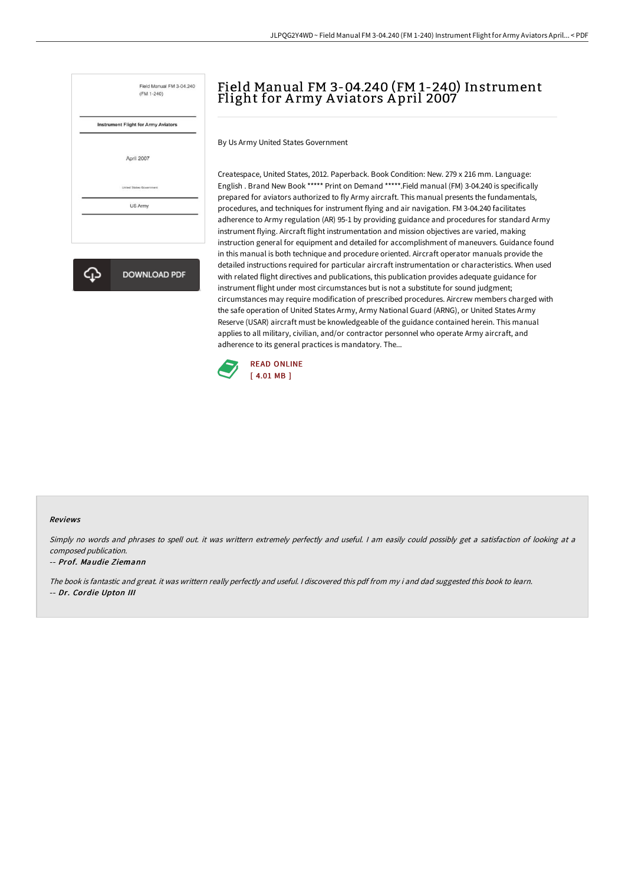

**DOWNLOAD PDF** 

# Field Manual FM 3-04.240 (FM 1-240) Instrument Flight for Army Aviators April 2007

By Us Army United States Government

Createspace, United States, 2012. Paperback. Book Condition: New. 279 x 216 mm. Language: English . Brand New Book \*\*\*\*\* Print on Demand \*\*\*\*\*.Field manual (FM) 3-04.240 is specifically prepared for aviators authorized to fly Army aircraft. This manual presents the fundamentals, procedures, and techniques for instrument flying and air navigation. FM 3-04.240 facilitates adherence to Army regulation (AR) 95-1 by providing guidance and procedures for standard Army instrument flying. Aircraft flight instrumentation and mission objectives are varied, making instruction general for equipment and detailed for accomplishment of maneuvers. Guidance found in this manual is both technique and procedure oriented. Aircraft operator manuals provide the detailed instructions required for particular aircraft instrumentation or characteristics. When used with related flight directives and publications, this publication provides adequate guidance for instrument flight under most circumstances but is not a substitute for sound judgment; circumstances may require modification of prescribed procedures. Aircrew members charged with the safe operation of United States Army, Army National Guard (ARNG), or United States Army Reserve (USAR) aircraft must be knowledgeable of the guidance contained herein. This manual applies to all military, civilian, and/or contractor personnel who operate Army aircraft, and adherence to its general practices is mandatory. The...



#### Reviews

Simply no words and phrases to spell out. it was writtern extremely perfectly and useful. <sup>I</sup> am easily could possibly get <sup>a</sup> satisfaction of looking at <sup>a</sup> composed publication.

#### -- Prof. Maudie Ziemann

The book is fantastic and great. it was writtern really perfectly and useful. <sup>I</sup> discovered this pdf from my i and dad suggested this book to learn. -- Dr. Cordie Upton III